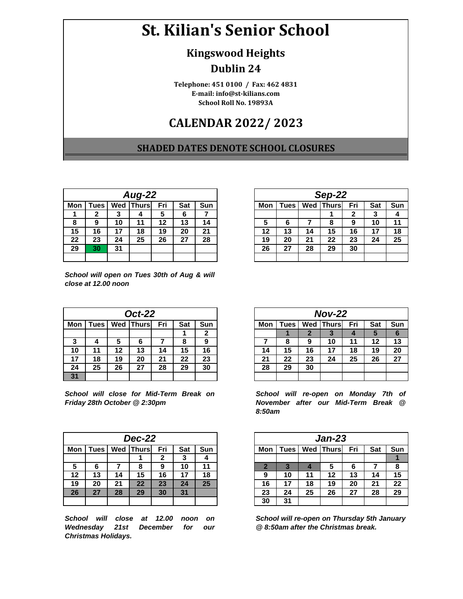# **St. Kilian's Senior School**

#### **Kingswood Heights**

### **Dublin 24**

**E-mail: info@st-kilians.com Telephone: 451 0100 / Fax: 462 4831 School Roll No. 19893A**

## **CALENDAR 2022/ 2023**

#### **SHADED DATES DENOTE SCHOOL CLOSURES**

|     | <b>Aug-22</b> |    |                  |     |     |     |  |  |  |  |  |
|-----|---------------|----|------------------|-----|-----|-----|--|--|--|--|--|
| Mon | <b>Tues</b>   |    | <b>Wed Thurs</b> | Fri | Sat | Sun |  |  |  |  |  |
|     |               | 3  |                  | 5   | 6   |     |  |  |  |  |  |
| 8   | 9             | 10 | 11               | 12  | 13  | 14  |  |  |  |  |  |
| 15  | 16            | 17 | 18               | 19  | 20  | 21  |  |  |  |  |  |
| 22  | 23            | 24 | 25               | 26  | 27  | 28  |  |  |  |  |  |
| 29  | 30            | 31 |                  |     |     |     |  |  |  |  |  |
|     |               |    |                  |     |     |     |  |  |  |  |  |

| School will open on Tues 30th of Aug & will |  |  |  |
|---------------------------------------------|--|--|--|
| close at 12.00 noon                         |  |  |  |

|     |             |    | <b>Oct-22</b> |     |            |     |
|-----|-------------|----|---------------|-----|------------|-----|
| Mon | <b>Tues</b> |    | Wed   Thurs   | Fri | <b>Sat</b> | Sun |
|     |             |    |               |     |            | 2   |
| 3   |             | 5  | 6             |     | 8          | 9   |
| 10  | 11          | 12 | 13            | 14  | 15         | 16  |
| 17  | 18          | 19 | 20            | 21  | 22         | 23  |
| 24  | 25          | 26 | 27            | 28  | 29         | 30  |
| 31  |             |    |               |     |            |     |

*School will close for Mid-Term Break on Friday 28th October @ 2:30pm*

|     |                                                  |    | <b>Dec-22</b> |    |    |    |  |  |  |
|-----|--------------------------------------------------|----|---------------|----|----|----|--|--|--|
| Mon | Wed   Thurs <br>Fri<br><b>Tues</b><br>Sat<br>Sun |    |               |    |    |    |  |  |  |
|     |                                                  |    |               |    | د  |    |  |  |  |
| 5   | 6                                                |    |               | 9  | 10 | 11 |  |  |  |
| 12  | 13                                               | 14 | 15            | 16 | 17 | 18 |  |  |  |
| 19  | 20                                               | 21 | 22            | 23 | 24 | 25 |  |  |  |
| 26  | 27                                               | 28 | 29            | 30 | 31 |    |  |  |  |
|     |                                                  |    |               |    |    |    |  |  |  |

*School will close at 12.00 noon on Wednesday 21st December for our Christmas Holidays.*

|     |                                             |    | <b>Aug-22</b> |    |    |    |  |  |  |
|-----|---------------------------------------------|----|---------------|----|----|----|--|--|--|
| Mon | Wed Thurs<br>Fri<br>Sun<br>Sat<br>Tues<br>≏ |    |               |    |    |    |  |  |  |
|     |                                             | J  |               | 5  |    |    |  |  |  |
| 8   | 9                                           | 10 | 11            | 12 | 13 | 14 |  |  |  |
| 15  | 16                                          |    | 18            | 19 | 20 | 21 |  |  |  |
| 22  | 23                                          | 24 | 25            | 26 | 27 | 28 |  |  |  |
| 29  | 30                                          | 31 |               |    |    |    |  |  |  |
|     |                                             |    |               |    |    |    |  |  |  |

|     |                                               |    | <b>Oct-22</b> |    |    |    |  |  |  |  |  |  |
|-----|-----------------------------------------------|----|---------------|----|----|----|--|--|--|--|--|--|
| Mon | <b>Wed Thurs</b><br>Fri<br>Sun<br>Sat<br>Tues |    |               |    |    |    |  |  |  |  |  |  |
|     |                                               |    |               |    |    | 2  |  |  |  |  |  |  |
| 3   |                                               | 5  | 6             |    | О  | 9  |  |  |  |  |  |  |
| 10  | 11                                            | 12 | 13            | 14 | 15 | 16 |  |  |  |  |  |  |
| 17  | 18                                            | 19 | 20            | 21 | 22 | 23 |  |  |  |  |  |  |
| 24  | 25                                            | 26 | 27            | 28 | 29 | 30 |  |  |  |  |  |  |
| 31  |                                               |    |               |    |    |    |  |  |  |  |  |  |

*School will re-open on Monday 7th of November after our Mid-Term Break @ 8:50am*

| --22       |     |     |     |     |             |     | <b>Jan-23</b> |     |     |     |
|------------|-----|-----|-----|-----|-------------|-----|---------------|-----|-----|-----|
| ıursl      | Fri | Sat | Sun | Mon | <b>Tues</b> | Wed | Thurs         | Fri | Sat | Sun |
| 1          | 2   | 3   |     |     |             |     |               |     |     |     |
| 8          | 9   | 10  | 11  |     |             |     | 5             | 6   |     | 8   |
| 15         | 16  | 17  | 18  | 9   | 10          | 11  | 12            | 13  | 14  | 15  |
| $22 \ \ 5$ | 23  | 24  | 25  | 16  | 17          | 18  | 19            | 20  | 21  | 22  |
| 29         | 30  | 31  |     | 23  | 24          | 25  | 26            | 27  | 28  | 29  |
|            |     |     |     | 30  | 31          |     |               |     |     |     |

*School will re-open on Thursday 5th January @ 8:50am after the Christmas break.*